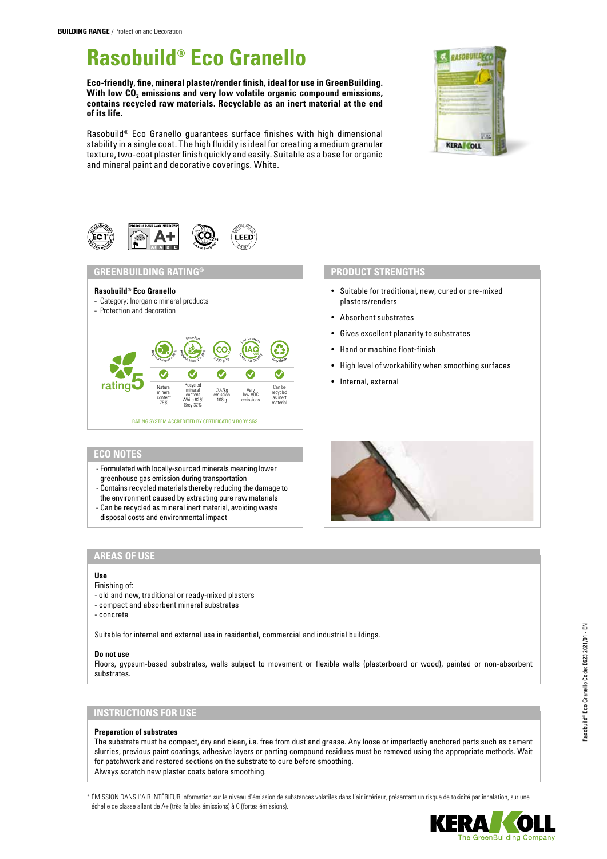# **Rasobuild® Eco Granello**

**Eco-friendly, fine, mineral plaster/render finish, ideal for use in GreenBuilding.**  With low CO<sub>2</sub> emissions and very low volatile organic compound emissions, **contains recycled raw materials. Recyclable as an inert material at the end of its life.**

Rasobuild® Eco Granello guarantees surface finishes with high dimensional stability in a single coat. The high fluidity is ideal for creating a medium granular texture, two-coat plaster finish quickly and easily. Suitable as a base for organic and mineral paint and decorative coverings. White.





# **GREENBUILDING RATING® PRODUCT STRENGTHS**

#### **Rasobuild® Eco Granello**

- Category: Inorganic mineral products
- Protection and decoration



# **ECO NOTES**

- Formulated with locally-sourced minerals meaning lower greenhouse gas emission during transportation
- Contains recycled materials thereby reducing the damage to
- the environment caused by extracting pure raw materials
- Can be recycled as mineral inert material, avoiding waste
- disposal costs and environmental impact

- Suitable for traditional, new, cured or pre-mixed plasters/renders
- Absorbent substrates
- Gives excellent planarity to substrates
- Hand or machine float-finish
- High level of workability when smoothing surfaces
- Internal, external



### **AREAS OF USE**

#### **Use**

# Finishing of:

- old and new, traditional or ready-mixed plasters
- compact and absorbent mineral substrates
- concrete

Suitable for internal and external use in residential, commercial and industrial buildings.

#### **Do not use**

Floors, gypsum-based substrates, walls subject to movement or flexible walls (plasterboard or wood), painted or non-absorbent substrates.

# **INSTRUCTIONS FOR USE**

#### **Preparation of substrates**

The substrate must be compact, dry and clean, i.e. free from dust and grease. Any loose or imperfectly anchored parts such as cement slurries, previous paint coatings, adhesive layers or parting compound residues must be removed using the appropriate methods. Wait for patchwork and restored sections on the substrate to cure before smoothing. Always scratch new plaster coats before smoothing.

\* ÉMISSION DANS L'AIR INTÉRIEUR Information sur le niveau d'émission de substances volatiles dans l'air intérieur, présentant un risque de toxicité par inhalation, sur une échelle de classe allant de A+ (très faibles émissions) à C (fortes émissions).

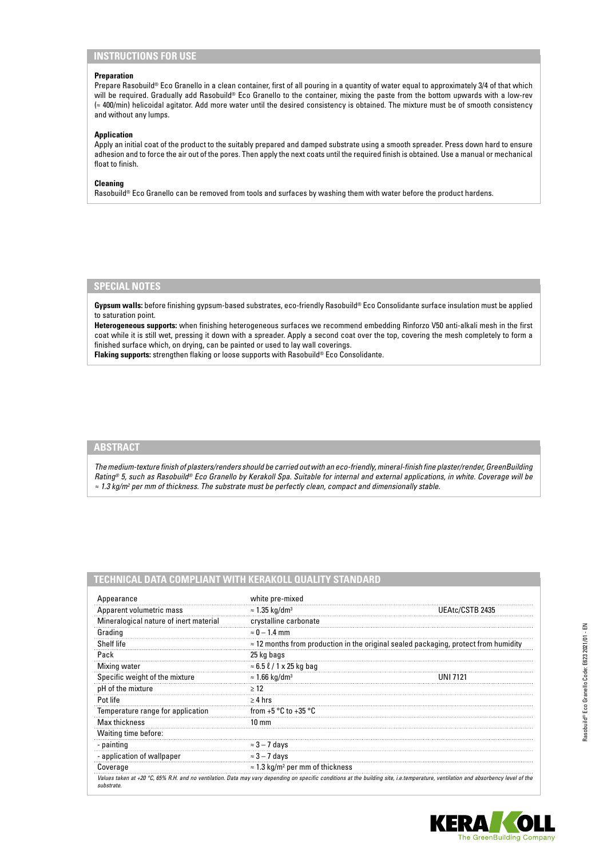# **INSTRUCTIONS FOR USE**

#### **Preparation**

Prepare Rasobuild® Eco Granello in a clean container, first of all pouring in a quantity of water equal to approximately 3/4 of that which will be required. Gradually add Rasobuild® Eco Granello to the container, mixing the paste from the bottom upwards with a low-rev (≈ 400/min) helicoidal agitator. Add more water until the desired consistency is obtained. The mixture must be of smooth consistency and without any lumps.

#### **Application**

Apply an initial coat of the product to the suitably prepared and damped substrate using a smooth spreader. Press down hard to ensure adhesion and to force the air out of the pores. Then apply the next coats until the required finish is obtained. Use a manual or mechanical float to finish.

#### **Cleaning**

Rasobuild® Eco Granello can be removed from tools and surfaces by washing them with water before the product hardens.

### **SPECIAL NOTES**

**Gypsum walls:** before finishing gypsum-based substrates, eco-friendly Rasobuild® Eco Consolidante surface insulation must be applied to saturation point.

**Heterogeneous supports:** when finishing heterogeneous surfaces we recommend embedding Rinforzo V50 anti-alkali mesh in the first coat while it is still wet, pressing it down with a spreader. Apply a second coat over the top, covering the mesh completely to form a finished surface which, on drying, can be painted or used to lay wall coverings.

**Flaking supports:** strengthen flaking or loose supports with Rasobuild® Eco Consolidante.

# **ABSTRACT**

*The medium-texture finish of plasters/renders should be carried out with an eco-friendly, mineral-finish fine plaster/render, GreenBuilding Rating® 5, such as Rasobuild® Eco Granello by Kerakoll Spa. Suitable for internal and external applications, in white. Coverage will be ≈ 1.3 kg/m2 per mm of thickness. The substrate must be perfectly clean, compact and dimensionally stable.*

# **TECHNICAL DATA COMPLIANT WITH KERAKOLL QUALITY STANDARD**

| Appearance                             | white pre-mixed                                                                             |                                                                                                                                                                                    |
|----------------------------------------|---------------------------------------------------------------------------------------------|------------------------------------------------------------------------------------------------------------------------------------------------------------------------------------|
| Apparent volumetric mass               | $\approx$ 1.35 kg/dm <sup>3</sup>                                                           | UEAtc/CSTB 2435                                                                                                                                                                    |
| Mineralogical nature of inert material | crystalline carbonate                                                                       |                                                                                                                                                                                    |
| Grading                                | $\approx$ 0 – 1.4 mm                                                                        |                                                                                                                                                                                    |
| Shelf life                             | $\approx$ 12 months from production in the original sealed packaging, protect from humidity |                                                                                                                                                                                    |
| Pack                                   | 25 kg bags                                                                                  |                                                                                                                                                                                    |
| Mixing water                           | $\approx 6.5 \ell / 1 \times 25$ kg bag                                                     |                                                                                                                                                                                    |
| Specific weight of the mixture         | $\approx$ 1.66 kg/dm <sup>3</sup>                                                           | UNI 7121                                                                                                                                                                           |
| pH of the mixture                      | >12                                                                                         |                                                                                                                                                                                    |
| Pot life                               | $\geq 4$ hrs                                                                                |                                                                                                                                                                                    |
| Temperature range for application      | from +5 $\degree$ C to +35 $\degree$ C                                                      |                                                                                                                                                                                    |
| Max thickness                          | $10 \text{ mm}$                                                                             |                                                                                                                                                                                    |
| Waiting time before:                   |                                                                                             |                                                                                                                                                                                    |
| - painting                             | $\approx$ 3 – 7 days                                                                        |                                                                                                                                                                                    |
| - application of wallpaper             | $\approx$ 3 – 7 days                                                                        |                                                                                                                                                                                    |
| Coverage                               | $\approx$ 1.3 kg/m <sup>2</sup> per mm of thickness                                         |                                                                                                                                                                                    |
| substrate.                             |                                                                                             | Values taken at +20 °C, 65% R.H. and no ventilation. Data may vary depending on specific conditions at the building site, i.e.temperature, ventilation and absorbency level of the |